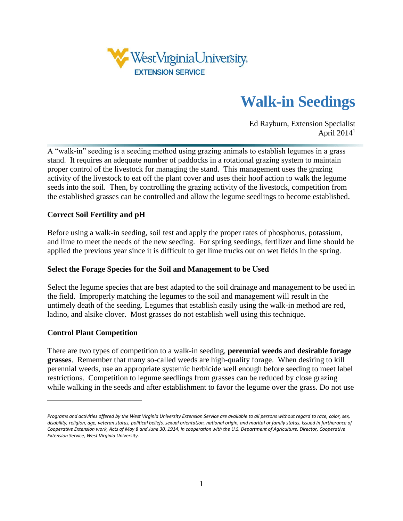

# **Walk-in Seedings**

Ed Rayburn, Extension Specialist April 2014 1

A "walk-in" seeding is a seeding method using grazing animals to establish legumes in a grass stand. It requires an adequate number of paddocks in a rotational grazing system to maintain proper control of the livestock for managing the stand. This management uses the grazing activity of the livestock to eat off the plant cover and uses their hoof action to walk the legume seeds into the soil. Then, by controlling the grazing activity of the livestock, competition from the established grasses can be controlled and allow the legume seedlings to become established.

# **Correct Soil Fertility and pH**

Before using a walk-in seeding, soil test and apply the proper rates of phosphorus, potassium, and lime to meet the needs of the new seeding. For spring seedings, fertilizer and lime should be applied the previous year since it is difficult to get lime trucks out on wet fields in the spring.

### **Select the Forage Species for the Soil and Management to be Used**

Select the legume species that are best adapted to the soil drainage and management to be used in the field. Improperly matching the legumes to the soil and management will result in the untimely death of the seeding. Legumes that establish easily using the walk-in method are red, ladino, and alsike clover. Most grasses do not establish well using this technique.

### **Control Plant Competition**

 $\overline{a}$ 

There are two types of competition to a walk-in seeding, **perennial weeds** and **desirable forage grasses**. Remember that many so-called weeds are high-quality forage. When desiring to kill perennial weeds, use an appropriate systemic herbicide well enough before seeding to meet label restrictions. Competition to legume seedlings from grasses can be reduced by close grazing while walking in the seeds and after establishment to favor the legume over the grass. Do not use

*Programs and activities offered by the West Virginia University Extension Service are available to all persons without regard to race, color, sex, disability, religion, age, veteran status, political beliefs, sexual orientation, national origin, and marital or family status. Issued in furtherance of Cooperative Extension work, Acts of May 8 and June 30, 1914, in cooperation with the U.S. Department of Agriculture. Director, Cooperative Extension Service, West Virginia University.*